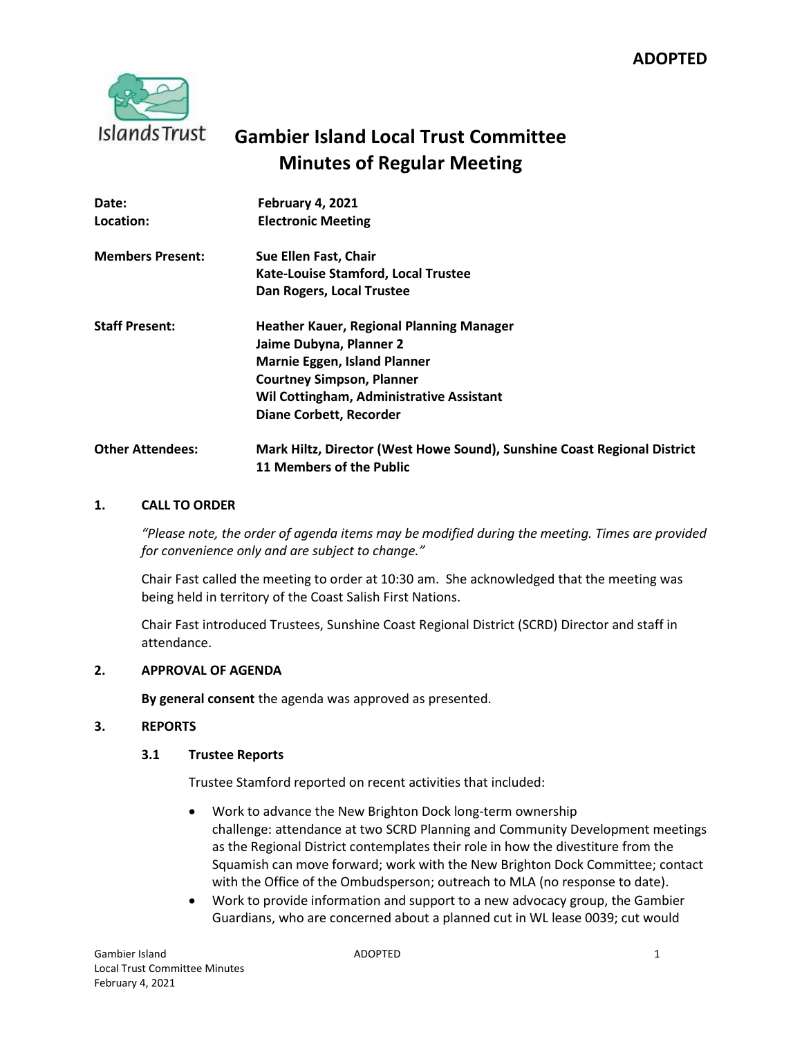

# **Gambier Island Local Trust Committee Minutes of Regular Meeting**

| Date:                   | <b>February 4, 2021</b>                                                  |  |  |
|-------------------------|--------------------------------------------------------------------------|--|--|
| Location:               | <b>Electronic Meeting</b>                                                |  |  |
| <b>Members Present:</b> | Sue Ellen Fast, Chair                                                    |  |  |
|                         | Kate-Louise Stamford, Local Trustee                                      |  |  |
|                         | Dan Rogers, Local Trustee                                                |  |  |
| <b>Staff Present:</b>   | Heather Kauer, Regional Planning Manager                                 |  |  |
|                         | Jaime Dubyna, Planner 2                                                  |  |  |
|                         | <b>Marnie Eggen, Island Planner</b>                                      |  |  |
|                         | <b>Courtney Simpson, Planner</b>                                         |  |  |
|                         | <b>Wil Cottingham, Administrative Assistant</b>                          |  |  |
|                         | Diane Corbett, Recorder                                                  |  |  |
| <b>Other Attendees:</b> | Mark Hiltz, Director (West Howe Sound), Sunshine Coast Regional District |  |  |
|                         | 11 Members of the Public                                                 |  |  |

### **1. CALL TO ORDER**

*"Please note, the order of agenda items may be modified during the meeting. Times are provided for convenience only and are subject to change."*

Chair Fast called the meeting to order at 10:30 am. She acknowledged that the meeting was being held in territory of the Coast Salish First Nations.

Chair Fast introduced Trustees, Sunshine Coast Regional District (SCRD) Director and staff in attendance.

### **2. APPROVAL OF AGENDA**

**By general consent** the agenda was approved as presented.

# **3. REPORTS**

### **3.1 Trustee Reports**

Trustee Stamford reported on recent activities that included:

- Work to advance the New Brighton Dock long-term ownership challenge: attendance at two SCRD Planning and Community Development meetings as the Regional District contemplates their role in how the divestiture from the Squamish can move forward; work with the New Brighton Dock Committee; contact with the Office of the Ombudsperson; outreach to MLA (no response to date).
- Work to provide information and support to a new advocacy group, the Gambier Guardians, who are concerned about a planned cut in WL lease 0039; cut would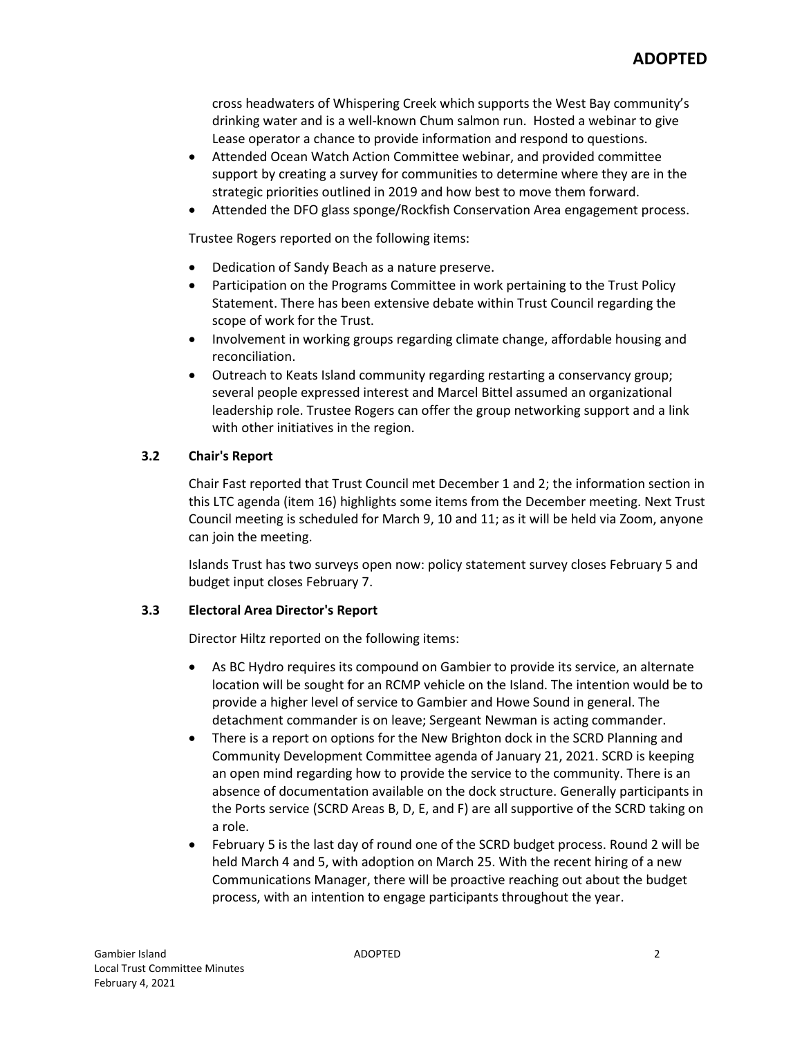cross headwaters of Whispering Creek which supports the West Bay community's drinking water and is a well-known Chum salmon run. Hosted a webinar to give Lease operator a chance to provide information and respond to questions.

- Attended Ocean Watch Action Committee webinar, and provided committee support by creating a survey for communities to determine where they are in the strategic priorities outlined in 2019 and how best to move them forward.
- Attended the DFO glass sponge/Rockfish Conservation Area engagement process.

Trustee Rogers reported on the following items:

- Dedication of Sandy Beach as a nature preserve.
- Participation on the Programs Committee in work pertaining to the Trust Policy Statement. There has been extensive debate within Trust Council regarding the scope of work for the Trust.
- Involvement in working groups regarding climate change, affordable housing and reconciliation.
- Outreach to Keats Island community regarding restarting a conservancy group; several people expressed interest and Marcel Bittel assumed an organizational leadership role. Trustee Rogers can offer the group networking support and a link with other initiatives in the region.

### **3.2 Chair's Report**

Chair Fast reported that Trust Council met December 1 and 2; the information section in this LTC agenda (item 16) highlights some items from the December meeting. Next Trust Council meeting is scheduled for March 9, 10 and 11; as it will be held via Zoom, anyone can join the meeting.

Islands Trust has two surveys open now: policy statement survey closes February 5 and budget input closes February 7.

### **3.3 Electoral Area Director's Report**

Director Hiltz reported on the following items:

- As BC Hydro requires its compound on Gambier to provide its service, an alternate location will be sought for an RCMP vehicle on the Island. The intention would be to provide a higher level of service to Gambier and Howe Sound in general. The detachment commander is on leave; Sergeant Newman is acting commander.
- There is a report on options for the New Brighton dock in the SCRD Planning and Community Development Committee agenda of January 21, 2021. SCRD is keeping an open mind regarding how to provide the service to the community. There is an absence of documentation available on the dock structure. Generally participants in the Ports service (SCRD Areas B, D, E, and F) are all supportive of the SCRD taking on a role.
- February 5 is the last day of round one of the SCRD budget process. Round 2 will be held March 4 and 5, with adoption on March 25. With the recent hiring of a new Communications Manager, there will be proactive reaching out about the budget process, with an intention to engage participants throughout the year.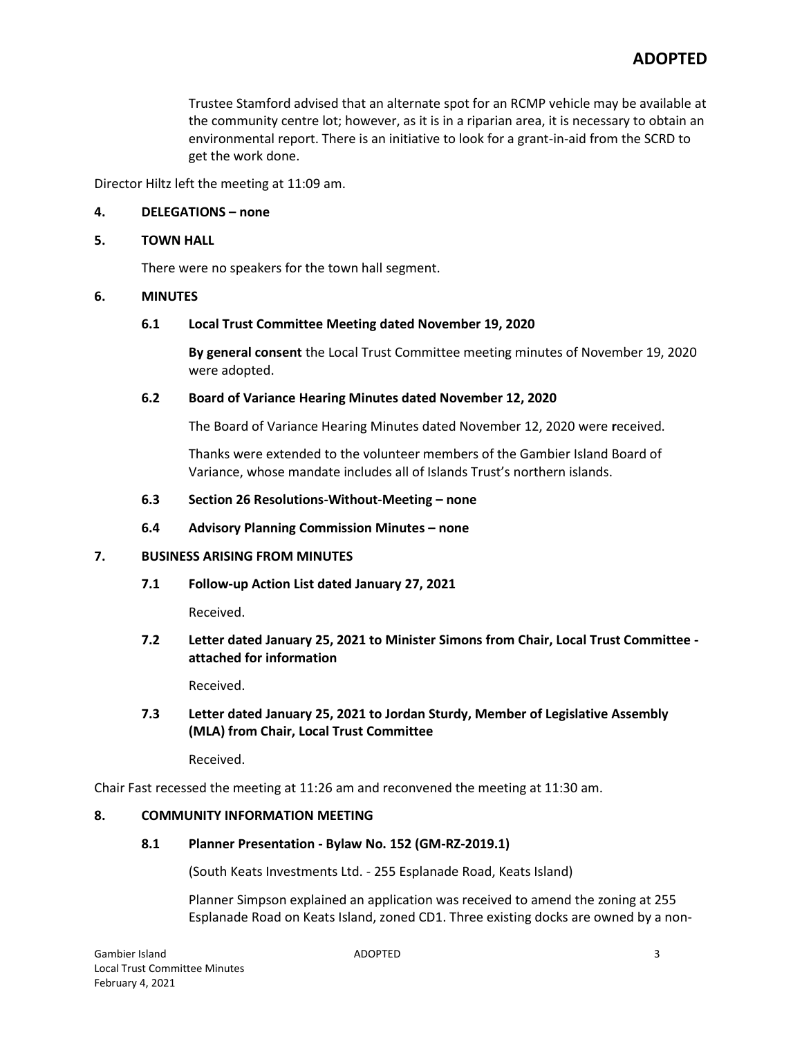Trustee Stamford advised that an alternate spot for an RCMP vehicle may be available at the community centre lot; however, as it is in a riparian area, it is necessary to obtain an environmental report. There is an initiative to look for a grant-in-aid from the SCRD to get the work done.

Director Hiltz left the meeting at 11:09 am.

# **4. DELEGATIONS – none**

### **5. TOWN HALL**

There were no speakers for the town hall segment.

# **6. MINUTES**

# **6.1 Local Trust Committee Meeting dated November 19, 2020**

**By general consent** the Local Trust Committee meeting minutes of November 19, 2020 were adopted.

# **6.2 Board of Variance Hearing Minutes dated November 12, 2020**

The Board of Variance Hearing Minutes dated November 12, 2020 were **r**eceived.

Thanks were extended to the volunteer members of the Gambier Island Board of Variance, whose mandate includes all of Islands Trust's northern islands.

# **6.3 Section 26 Resolutions-Without-Meeting – none**

**6.4 Advisory Planning Commission Minutes – none**

# **7. BUSINESS ARISING FROM MINUTES**

**7.1 Follow-up Action List dated January 27, 2021**

Received.

### **7.2 Letter dated January 25, 2021 to Minister Simons from Chair, Local Trust Committee attached for information**

Received.

# **7.3 Letter dated January 25, 2021 to Jordan Sturdy, Member of Legislative Assembly (MLA) from Chair, Local Trust Committee**

Received.

Chair Fast recessed the meeting at 11:26 am and reconvened the meeting at 11:30 am.

# **8. COMMUNITY INFORMATION MEETING**

# **8.1 Planner Presentation - Bylaw No. 152 (GM-RZ-2019.1)**

(South Keats Investments Ltd. - 255 Esplanade Road, Keats Island)

Planner Simpson explained an application was received to amend the zoning at 255 Esplanade Road on Keats Island, zoned CD1. Three existing docks are owned by a non-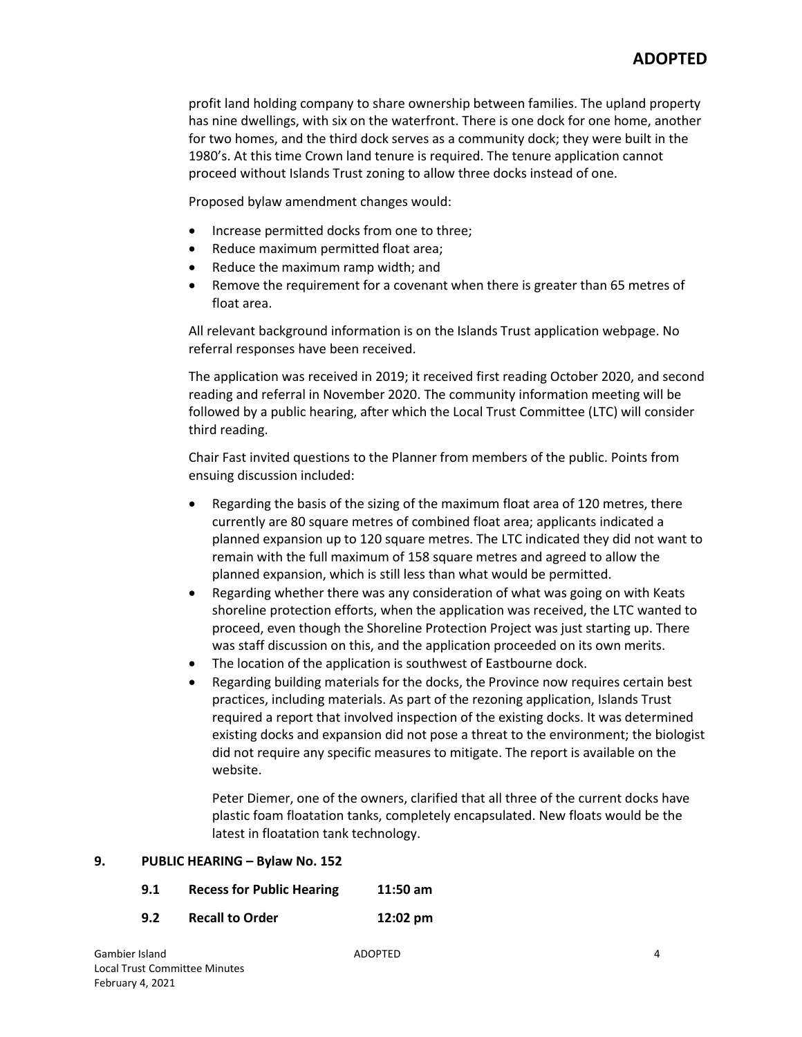profit land holding company to share ownership between families. The upland property has nine dwellings, with six on the waterfront. There is one dock for one home, another for two homes, and the third dock serves as a community dock; they were built in the 1980's. At this time Crown land tenure is required. The tenure application cannot proceed without Islands Trust zoning to allow three docks instead of one.

Proposed bylaw amendment changes would:

- Increase permitted docks from one to three;
- Reduce maximum permitted float area;
- Reduce the maximum ramp width; and
- Remove the requirement for a covenant when there is greater than 65 metres of float area.

All relevant background information is on the Islands Trust application webpage. No referral responses have been received.

The application was received in 2019; it received first reading October 2020, and second reading and referral in November 2020. The community information meeting will be followed by a public hearing, after which the Local Trust Committee (LTC) will consider third reading.

Chair Fast invited questions to the Planner from members of the public. Points from ensuing discussion included:

- Regarding the basis of the sizing of the maximum float area of 120 metres, there currently are 80 square metres of combined float area; applicants indicated a planned expansion up to 120 square metres. The LTC indicated they did not want to remain with the full maximum of 158 square metres and agreed to allow the planned expansion, which is still less than what would be permitted.
- Regarding whether there was any consideration of what was going on with Keats shoreline protection efforts, when the application was received, the LTC wanted to proceed, even though the Shoreline Protection Project was just starting up. There was staff discussion on this, and the application proceeded on its own merits.
- The location of the application is southwest of Eastbourne dock.
- Regarding building materials for the docks, the Province now requires certain best practices, including materials. As part of the rezoning application, Islands Trust required a report that involved inspection of the existing docks. It was determined existing docks and expansion did not pose a threat to the environment; the biologist did not require any specific measures to mitigate. The report is available on the website.

Peter Diemer, one of the owners, clarified that all three of the current docks have plastic foam floatation tanks, completely encapsulated. New floats would be the latest in floatation tank technology.

#### **9. PUBLIC HEARING – Bylaw No. 152**

| 9.1 | <b>Recess for Public Hearing</b> | $11:50$ am |
|-----|----------------------------------|------------|
|     |                                  |            |

**9.2 Recall to Order 12:02 pm**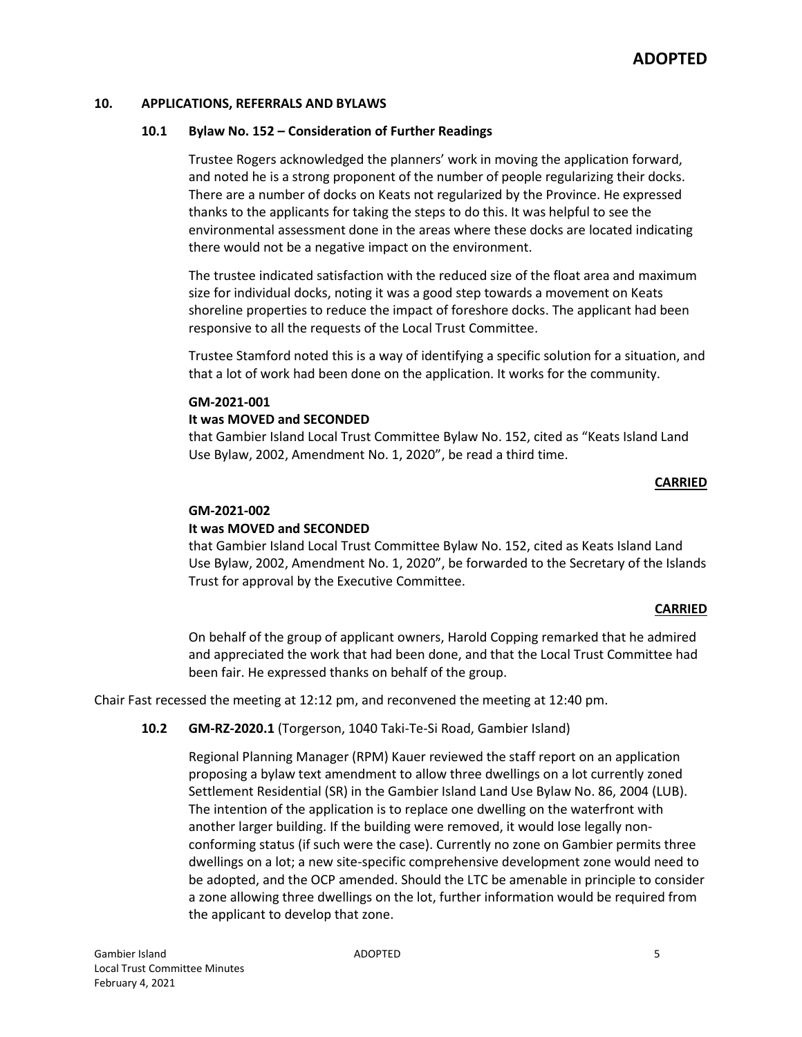#### **10. APPLICATIONS, REFERRALS AND BYLAWS**

### **10.1 Bylaw No. 152 – Consideration of Further Readings**

Trustee Rogers acknowledged the planners' work in moving the application forward, and noted he is a strong proponent of the number of people regularizing their docks. There are a number of docks on Keats not regularized by the Province. He expressed thanks to the applicants for taking the steps to do this. It was helpful to see the environmental assessment done in the areas where these docks are located indicating there would not be a negative impact on the environment.

The trustee indicated satisfaction with the reduced size of the float area and maximum size for individual docks, noting it was a good step towards a movement on Keats shoreline properties to reduce the impact of foreshore docks. The applicant had been responsive to all the requests of the Local Trust Committee.

Trustee Stamford noted this is a way of identifying a specific solution for a situation, and that a lot of work had been done on the application. It works for the community.

#### **GM-2021-001**

### **It was MOVED and SECONDED**

that Gambier Island Local Trust Committee Bylaw No. 152, cited as "Keats Island Land Use Bylaw, 2002, Amendment No. 1, 2020", be read a third time.

#### **CARRIED**

#### **GM-2021-002**

### **It was MOVED and SECONDED**

that Gambier Island Local Trust Committee Bylaw No. 152, cited as Keats Island Land Use Bylaw, 2002, Amendment No. 1, 2020", be forwarded to the Secretary of the Islands Trust for approval by the Executive Committee.

### **CARRIED**

On behalf of the group of applicant owners, Harold Copping remarked that he admired and appreciated the work that had been done, and that the Local Trust Committee had been fair. He expressed thanks on behalf of the group.

Chair Fast recessed the meeting at 12:12 pm, and reconvened the meeting at 12:40 pm.

**10.2 GM-RZ-2020.1** (Torgerson, 1040 Taki-Te-Si Road, Gambier Island)

Regional Planning Manager (RPM) Kauer reviewed the staff report on an application proposing a bylaw text amendment to allow three dwellings on a lot currently zoned Settlement Residential (SR) in the Gambier Island Land Use Bylaw No. 86, 2004 (LUB). The intention of the application is to replace one dwelling on the waterfront with another larger building. If the building were removed, it would lose legally nonconforming status (if such were the case). Currently no zone on Gambier permits three dwellings on a lot; a new site-specific comprehensive development zone would need to be adopted, and the OCP amended. Should the LTC be amenable in principle to consider a zone allowing three dwellings on the lot, further information would be required from the applicant to develop that zone.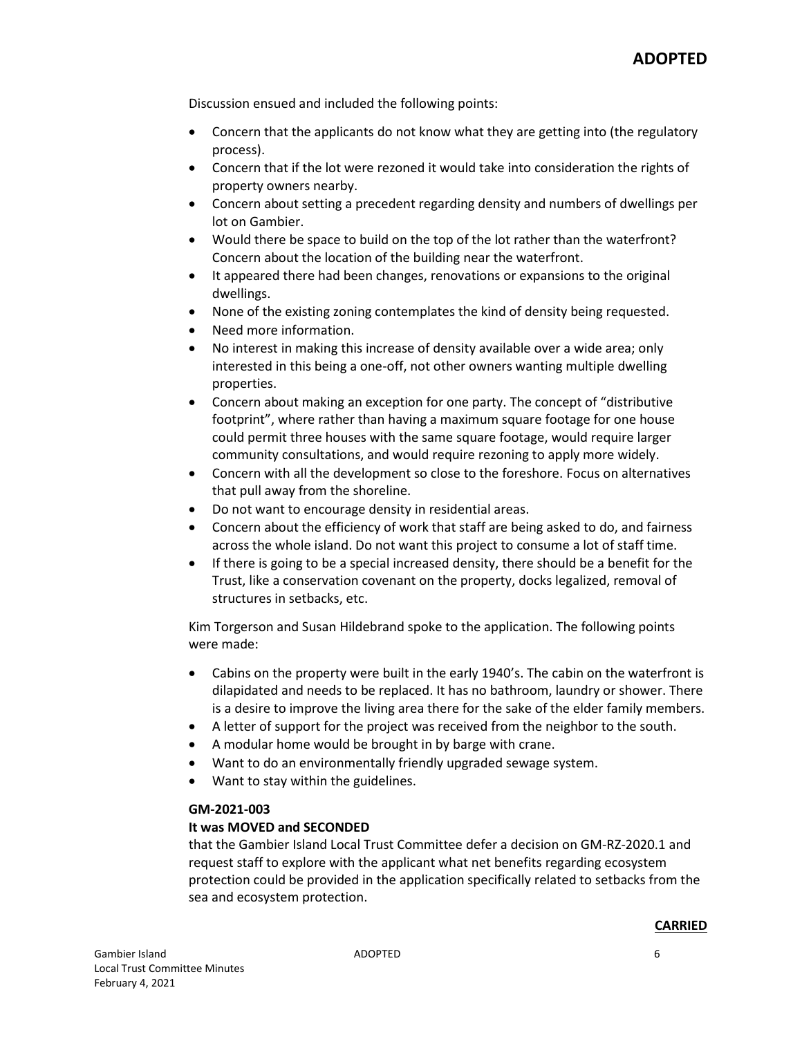Discussion ensued and included the following points:

- Concern that the applicants do not know what they are getting into (the regulatory process).
- Concern that if the lot were rezoned it would take into consideration the rights of property owners nearby.
- Concern about setting a precedent regarding density and numbers of dwellings per lot on Gambier.
- Would there be space to build on the top of the lot rather than the waterfront? Concern about the location of the building near the waterfront.
- It appeared there had been changes, renovations or expansions to the original dwellings.
- None of the existing zoning contemplates the kind of density being requested.
- Need more information.
- No interest in making this increase of density available over a wide area; only interested in this being a one-off, not other owners wanting multiple dwelling properties.
- Concern about making an exception for one party. The concept of "distributive footprint", where rather than having a maximum square footage for one house could permit three houses with the same square footage, would require larger community consultations, and would require rezoning to apply more widely.
- Concern with all the development so close to the foreshore. Focus on alternatives that pull away from the shoreline.
- Do not want to encourage density in residential areas.
- Concern about the efficiency of work that staff are being asked to do, and fairness across the whole island. Do not want this project to consume a lot of staff time.
- If there is going to be a special increased density, there should be a benefit for the Trust, like a conservation covenant on the property, docks legalized, removal of structures in setbacks, etc.

Kim Torgerson and Susan Hildebrand spoke to the application. The following points were made:

- Cabins on the property were built in the early 1940's. The cabin on the waterfront is dilapidated and needs to be replaced. It has no bathroom, laundry or shower. There is a desire to improve the living area there for the sake of the elder family members.
- A letter of support for the project was received from the neighbor to the south.
- A modular home would be brought in by barge with crane.
- Want to do an environmentally friendly upgraded sewage system.
- Want to stay within the guidelines.

### **GM-2021-003**

### **It was MOVED and SECONDED**

that the Gambier Island Local Trust Committee defer a decision on GM-RZ-2020.1 and request staff to explore with the applicant what net benefits regarding ecosystem protection could be provided in the application specifically related to setbacks from the sea and ecosystem protection.

#### **CARRIED**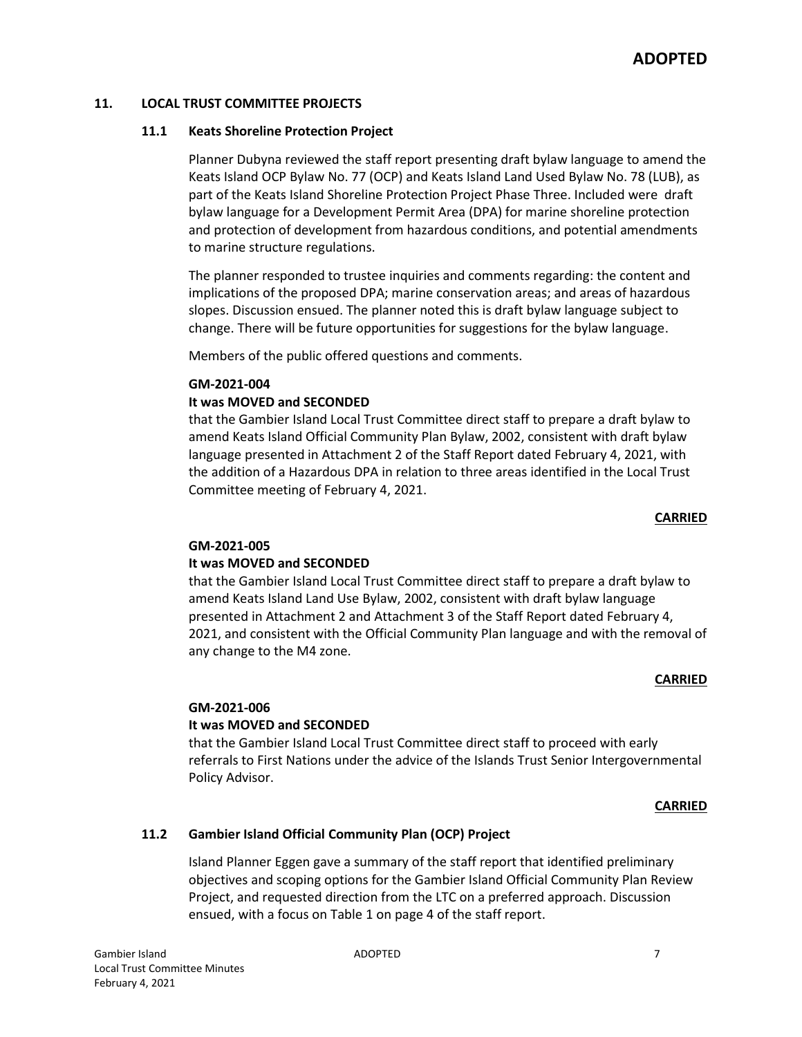# **11. LOCAL TRUST COMMITTEE PROJECTS**

### **11.1 Keats Shoreline Protection Project**

Planner Dubyna reviewed the staff report presenting draft bylaw language to amend the Keats Island OCP Bylaw No. 77 (OCP) and Keats Island Land Used Bylaw No. 78 (LUB), as part of the Keats Island Shoreline Protection Project Phase Three. Included were draft bylaw language for a Development Permit Area (DPA) for marine shoreline protection and protection of development from hazardous conditions, and potential amendments to marine structure regulations.

The planner responded to trustee inquiries and comments regarding: the content and implications of the proposed DPA; marine conservation areas; and areas of hazardous slopes. Discussion ensued. The planner noted this is draft bylaw language subject to change. There will be future opportunities for suggestions for the bylaw language.

Members of the public offered questions and comments.

### **GM-2021-004**

# **It was MOVED and SECONDED**

that the Gambier Island Local Trust Committee direct staff to prepare a draft bylaw to amend Keats Island Official Community Plan Bylaw, 2002, consistent with draft bylaw language presented in Attachment 2 of the Staff Report dated February 4, 2021, with the addition of a Hazardous DPA in relation to three areas identified in the Local Trust Committee meeting of February 4, 2021.

### **CARRIED**

### **GM-2021-005**

# **It was MOVED and SECONDED**

that the Gambier Island Local Trust Committee direct staff to prepare a draft bylaw to amend Keats Island Land Use Bylaw, 2002, consistent with draft bylaw language presented in Attachment 2 and Attachment 3 of the Staff Report dated February 4, 2021, and consistent with the Official Community Plan language and with the removal of any change to the M4 zone.

### **CARRIED**

### **GM-2021-006**

### **It was MOVED and SECONDED**

that the Gambier Island Local Trust Committee direct staff to proceed with early referrals to First Nations under the advice of the Islands Trust Senior Intergovernmental Policy Advisor.

### **CARRIED**

# **11.2 Gambier Island Official Community Plan (OCP) Project**

Island Planner Eggen gave a summary of the staff report that identified preliminary objectives and scoping options for the Gambier Island Official Community Plan Review Project, and requested direction from the LTC on a preferred approach. Discussion ensued, with a focus on Table 1 on page 4 of the staff report.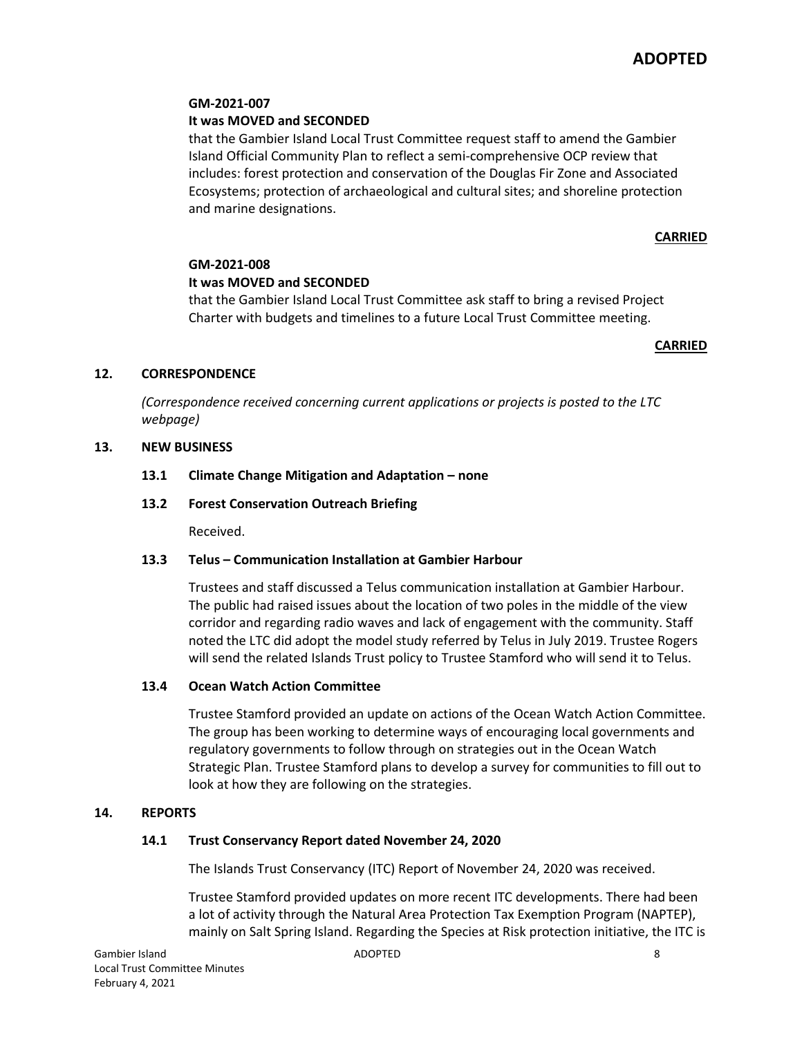# **GM-2021-007**

### **It was MOVED and SECONDED**

that the Gambier Island Local Trust Committee request staff to amend the Gambier Island Official Community Plan to reflect a semi-comprehensive OCP review that includes: forest protection and conservation of the Douglas Fir Zone and Associated Ecosystems; protection of archaeological and cultural sites; and shoreline protection and marine designations.

### **CARRIED**

#### **GM-2021-008**

### **It was MOVED and SECONDED**

that the Gambier Island Local Trust Committee ask staff to bring a revised Project Charter with budgets and timelines to a future Local Trust Committee meeting.

#### **CARRIED**

# **12. CORRESPONDENCE**

*(Correspondence received concerning current applications or projects is posted to the LTC webpage)*

### **13. NEW BUSINESS**

### **13.1 Climate Change Mitigation and Adaptation – none**

### **13.2 Forest Conservation Outreach Briefing**

Received.

### **13.3 Telus – Communication Installation at Gambier Harbour**

Trustees and staff discussed a Telus communication installation at Gambier Harbour. The public had raised issues about the location of two poles in the middle of the view corridor and regarding radio waves and lack of engagement with the community. Staff noted the LTC did adopt the model study referred by Telus in July 2019. Trustee Rogers will send the related Islands Trust policy to Trustee Stamford who will send it to Telus.

### **13.4 Ocean Watch Action Committee**

Trustee Stamford provided an update on actions of the Ocean Watch Action Committee. The group has been working to determine ways of encouraging local governments and regulatory governments to follow through on strategies out in the Ocean Watch Strategic Plan. Trustee Stamford plans to develop a survey for communities to fill out to look at how they are following on the strategies.

### **14. REPORTS**

### **14.1 Trust Conservancy Report dated November 24, 2020**

The Islands Trust Conservancy (ITC) Report of November 24, 2020 was received.

Trustee Stamford provided updates on more recent ITC developments. There had been a lot of activity through the Natural Area Protection Tax Exemption Program (NAPTEP), mainly on Salt Spring Island. Regarding the Species at Risk protection initiative, the ITC is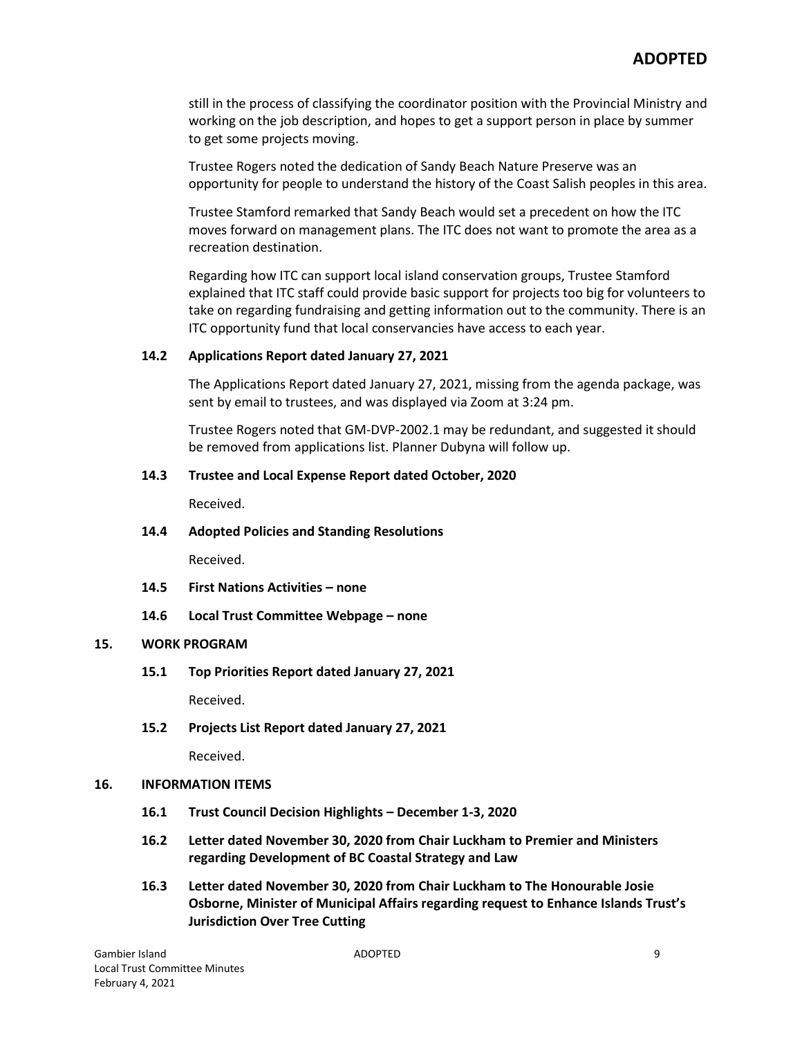still in the process of classifying the coordinator position with the Provincial Ministry and working on the job description, and hopes to get a support person in place by summer to get some projects moving.

Trustee Rogers noted the dedication of Sandy Beach Nature Preserve was an opportunity for people to understand the history of the Coast Salish peoples in this area.

Trustee Stamford remarked that Sandy Beach would set a precedent on how the ITC moves forward on management plans. The ITC does not want to promote the area as a recreation destination.

Regarding how ITC can support local island conservation groups, Trustee Stamford explained that ITC staff could provide basic support for projects too big for volunteers to take on regarding fundraising and getting information out to the community. There is an ITC opportunity fund that local conservancies have access to each year.

#### **14.2 Applications Report dated January 27, 2021**

The Applications Report dated January 27, 2021, missing from the agenda package, was sent by email to trustees, and was displayed via Zoom at 3:24 pm.

Trustee Rogers noted that GM-DVP-2002.1 may be redundant, and suggested it should be removed from applications list. Planner Dubyna will follow up.

### **14.3 Trustee and Local Expense Report dated October, 2020**

Received.

### **14.4 Adopted Policies and Standing Resolutions**

Received.

- **14.5 First Nations Activities – none**
- **14.6 Local Trust Committee Webpage – none**

#### **15. WORK PROGRAM**

**15.1 Top Priorities Report dated January 27, 2021**

Received.

**15.2 Projects List Report dated January 27, 2021**

Received.

### **16. INFORMATION ITEMS**

- **16.1 Trust Council Decision Highlights – December 1-3, 2020**
- **16.2 Letter dated November 30, 2020 from Chair Luckham to Premier and Ministers regarding Development of BC Coastal Strategy and Law**
- **16.3 Letter dated November 30, 2020 from Chair Luckham to The Honourable Josie Osborne, Minister of Municipal Affairs regarding request to Enhance Islands Trust's Jurisdiction Over Tree Cutting**